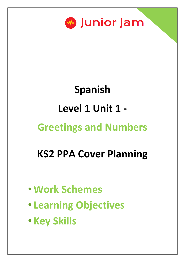

# **Spanish Level 1 Unit 1 - Greetings and Numbers**

# **KS2 PPA Cover Planning**

- •**Work Schemes**
- **Learning Objectives**
- **Key Skills**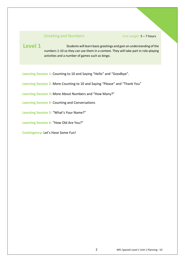### Greeting and Numbers Unit Length: 5-7 hours

Students will learn basic greetings and gain an understanding of the numbers 1-10 so they can use them in a context. They will take part in role-playing activities and a number of games such as bingo. **Level 1**

Learning Session 1: Counting to 10 and Saying "Hello" and "Goodbye".

**Learning Session 2:** More Counting to 10 and Saying "Please" and "Thank You"

**Learning Session 3:** More About Numbers and "How Many?"

**Learning Session 4:** Counting and Conversations

**Learning Session 5:** "What's Your Name?"

**Learning Session 6:** "How Old Are You?"

**Contingency:** Let's Have Some Fun!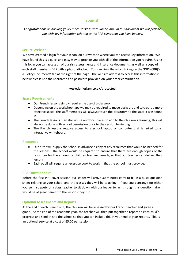# **Spanish**

*Congratulations on booking your French sessions with Junior Jam. In this document we will provide you with key information relating to the PPA cover that you have booked.*

#### **Secure Website**

We have created a login for your school on our website where you can access key information. We have found this is a quick and easy way to provide you with all of the information you require. Using this login you can access all of our risk assessments and insurance documents, as well as a copy of each staff member's DBS with a photo attached. You can view these by clicking on the 'DBS (CRB)'s & Policy Documents' tab at the right of the page. The website address to access this information is below; please use the username and password provided on your order confirmation.

#### **www.juniorjam.co.uk/protected**

#### **Space Requirements**

- Our French lessons simply require the use of a classroom.
- Depending on the workshop type we may be required to move desks around to create a more effective space; the staff members will always return the classroom to the state it was found in.
- The French lessons may also utilise outdoor spaces to add to the children's learning; this will always be done with school permission prior to the session beginning.
- The French lessons require access to a school laptop or computer that is linked to an interactive whiteboard.

#### **Resources**

- Our tutor will supply the school in advance a copy of any resources that would be needed for the lessons. The school would be required to ensure that there are enough copies of the resources for the amount of children learning French, so that our teacher can deliver their lessons.
- Each pupil will require an exercise book to work in that the school must provide.

#### **PPA Questionnaire**

Before the first PPA cover session our leader will arrive 30 minutes early to fill in a quick question sheet relating to your school and the classes they will be teaching. If you could arrange for either yourself, a deputy or a class teacher to sit down with our leader to run through this questionnaire it would be of great benefit to the lessons they run.

#### **Optional Assessments and Reports**

At the end of each French unit, the children will be assessed by our French teacher and given a grade. At the end of the academic year, the teacher will then put together a report on each child's progress and send this to the school so that you can include this in your end of year reports. This is an optional service at a cost of £5.00 per session.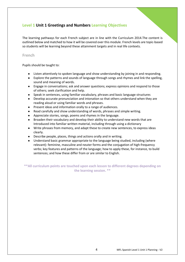# **Level 1 Unit 1 Greetings and Numbers Learning Objectives**

The learning pathways for each French subject are in line with the Curriculum 2014.The content is outlined below and matched to how it will be covered over this module. French levels are topic-based so students will be learning beyond these attainment targets and in real life contexts.

#### **French**

Pupils should be taught to:

- Listen attentively to spoken language and show understanding by joining in and responding.
- Explore the patterns and sounds of language through songs and rhymes and link the spelling, sound and meaning of words.
- Engage in conversations; ask and answer questions; express opinions and respond to those of others; seek clarification and help.
- Speak in sentences, using familiar vocabulary, phrases and basic language structures
- Develop accurate pronunciation and intonation so that others understand when they are reading aloud or using familiar words and phrases.
- Present ideas and information orally to a range of audiences.
- Read carefully and show understanding of words, phrases and simple writing.
- Appreciate stories, songs, poems and rhymes in the language.
- Broaden their vocabulary and develop their ability to understand new words that are Introduced into familiar written material, including through using a dictionary
- Write phrases from memory, and adapt these to create new sentences, to express ideas clearly.
- Describe people, places, things and actions orally and in writing.
- Understand basic grammar appropriate to the language being studied, including (where relevant): feminine, masculine and neuter forms and the conjugation of high-frequency verbs; key features and patterns of the language; how to apply these, for instance, to build sentences; and how these differ from or are similar to English.

**\*\*All curriculum points are touched upon each lesson to different degrees depending on the learning session. \*\***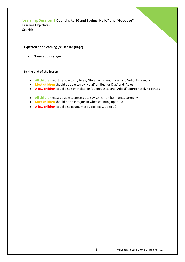# **Learning Session 1 Counting to 10 and Saying "Hello" and "Goodbye"**

Learning Objectives Spanish

#### **Expected prior learning (reused language)**

• None at this stage

- **All children** must be able to try to say 'Hola!' or 'Buenos Dias' and 'Adios!' correctly
- **Most children** should be able to say 'Hola!' or 'Buenos Dias' and 'Adios!'
- **A few children** could also say 'Hola!' or 'Buenos Dias' and 'Adios!' appropriately to others
- **All children** must be able to attempt to say some number names correctly
- **Most children** should be able to join in when counting up to 10
- **A few children** could also count, mostly correctly, up to 10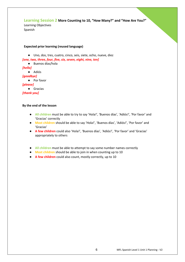# **Learning Session 2 More Counting to 10, "How Many?" and "How Are You?"**

Learning Objectives Spanish

#### **Expected prior learning (reused language)**

● Uno, dos, tres, cuatro, cinco, seis, siete, ocho, nueve, diez

*[one, two, three, four, five, six, seven, eight, nine, ten]*

● Buenos días/hola *[hello]* ● Adiós *[goodbye]* ● Por favor

*[please]*

● Gracias

*[thank you]*

- **All children** must be able to try to say 'Hola!', 'Buenos días', 'Adiós!', 'Por favor' and 'Gracias' correctly
- **Most children** should be able to say 'Hola!', 'Buenos días', 'Adiós!', 'Por favor' and 'Gracias'
- **A few children** could also 'Hola!', 'Buenos días', 'Adiós!', 'Por favor' and 'Gracias' appropriately to others
- **All children** must be able to attempt to say some number names correctly
- **Most children** should be able to join in when counting up to 10
- **A few children** could also count, mostly correctly, up to 10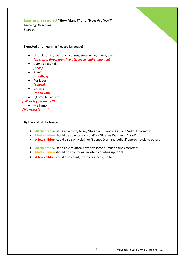# **Learning Session 3 "How Many?" and "How Are You?"**

Learning Objectives Spanish



#### **Expected prior learning (reused language)**

- Uno, dos, tres, cuatro, cinco, seis, siete, ocho, nueve, diez *[one, two, three, four, five, six, seven, eight, nine, ten]*
- Buenos días/hola *[hello]*
- Adiós *[goodbye]*
- Por favor
	- *[please]*
- Gracias *[thank you]*
- '¿Cómo te llamas?'

# *['What is your name?']*

● Me llamo \_\_\_\_ *[My name is \_\_\_\_]*

- **All children** must be able to try to say 'Hola!' or 'Buenos Dias' and 'Adios!' correctly
- **Most children** should be able to say 'Hola!' or 'Buenos Dias' and 'Adios!'
- **A few children** could also say 'Hola!' or 'Buenos Dias' and 'Adios!' appropriately to others
- **All children** must be able to attempt to say some number names correctly
- **Most children** should be able to join in when counting up to 10
- **A few children** could also count, mostly correctly, up to 10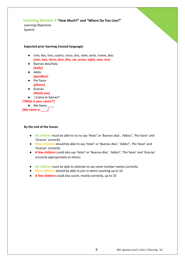# **Learning Session 4 "How Much?" and "Where Do You Live?"**

Learning Objectives Spanish

#### **Expected prior learning (reused language)**

- Uno, dos, tres, cuatro, cinco, seis, siete, ocho, nueve, diez *[one, two, three, four, five, six, seven, eight, nine, ten]*
- Buenos días/hola *[hello]*
- Adiós *[goodbye]*
- Por favor
	- *[please]*
- Gracias *[thank you]*

● '¿Cómo te llamas?'

# *['What is your name?']*

● Me llamo \_\_\_\_ *[My name is \_\_\_\_]*

- **All children** must be able to try to say 'Hola!' or 'Buenos días', 'Adiós!', 'Por favor' and 'Gracias' correctly
- **Most children** should be able to say 'Hola!' or 'Buenos días', 'Adiós!', 'Por favor' and 'Gracias' correctly
- **A few children** could also say 'Hola!' or 'Buenos días', 'Adiós!', 'Por favor' and 'Gracias' correctly appropriately to others
- **All children** must be able to attempt to say some number names correctly
- **Most children** should be able to join in when counting up to 10
- **A few children** could also count, mostly correctly, up to 10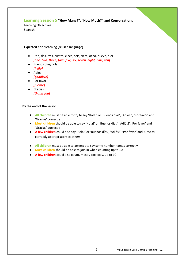# **Learning Session 5 "How Many?", "How Much?" and Conversations**

Learning Objectives Spanish

#### **Expected prior learning (reused language)**

- Uno, dos, tres, cuatro, cinco, seis, siete, ocho, nueve, diez *[one, two, three, four, five, six, seven, eight, nine, ten]*
- Buenos días/hola *[hello]*
- Adiós *[goodbye]*
- Por favor *[please]*
- Gracias *[thank you]*

- **All children** must be able to try to say 'Hola!' or 'Buenos días', 'Adiós!', 'Por favor' and 'Gracias' correctly
- **Most children** should be able to say 'Hola!' or 'Buenos días', 'Adiós!', 'Por favor' and 'Gracias' correctly
- **A few children** could also say 'Hola!' or 'Buenos días', 'Adiós!', 'Por favor' and 'Gracias' correctly appropriately to others
- **All children** must be able to attempt to say some number names correctly
- **Most children** should be able to join in when counting up to 10
- **A few children** could also count, mostly correctly, up to 10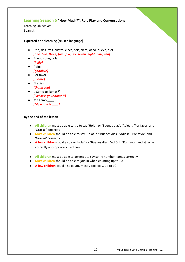# **Learning Session 6 "How Much?", Role Play and Conversations**

Learning Objectives Spanish

#### **Expected prior learning (reused language)**

- Uno, dos, tres, cuatro, cinco, seis, siete, ocho, nueve, diez *[one, two, three, four, five, six, seven, eight, nine, ten]*
- Buenos días/hola *[hello]*
- Adiós *[goodbye]*
- Por favor
- *[please]*
- Gracias *[thank you]*
- '¿Cómo te llamas?' *['What is your name?']*
- Me llamo \_\_\_\_ *[My name is \_\_\_\_]*

- **All children** must be able to try to say 'Hola!' or 'Buenos días', 'Adiós!', 'Por favor' and 'Gracias' correctly
- **Most children** should be able to say 'Hola!' or 'Buenos días', 'Adiós!', 'Por favor' and 'Gracias' correctly
- **A few children** could also say 'Hola!' or 'Buenos días', 'Adiós!', 'Por favor' and 'Gracias' correctly appropriately to others
- **All children** must be able to attempt to say some number names correctly
- **Most children** should be able to join in when counting up to 10
- **A few children** could also count, mostly correctly, up to 10